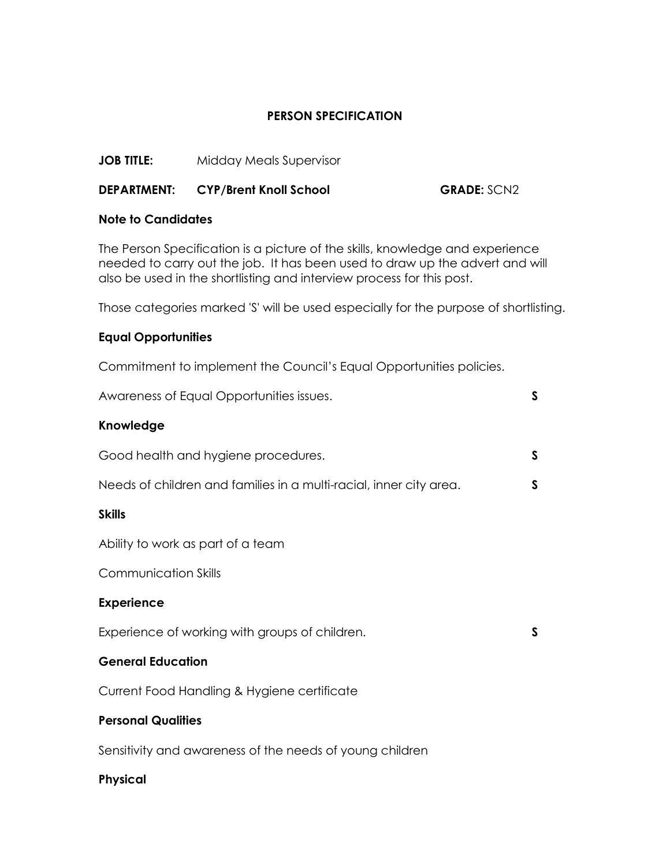# **PERSON SPECIFICATION**

**JOB TITLE:** Midday Meals Supervisor

# **DEPARTMENT: CYP/Brent Knoll School GRADE:** SCN2

## **Note to Candidates**

The Person Specification is a picture of the skills, knowledge and experience needed to carry out the job. It has been used to draw up the advert and will also be used in the shortlisting and interview process for this post.

Those categories marked 'S' will be used especially for the purpose of shortlisting.

## **Equal Opportunities**

Commitment to implement the Council's Equal Opportunities policies.

| Awareness of Equal Opportunities issues.                           | $\mathsf{S}$ |
|--------------------------------------------------------------------|--------------|
| Knowledge                                                          |              |
| Good health and hygiene procedures.                                | S            |
| Needs of children and families in a multi-racial, inner city area. | $\mathsf{S}$ |
| <b>Skills</b>                                                      |              |
| Ability to work as part of a team                                  |              |
| <b>Communication Skills</b>                                        |              |
| <b>Experience</b>                                                  |              |
| Experience of working with groups of children.                     | S            |
| <b>General Education</b>                                           |              |
| Current Food Handling & Hygiene certificate                        |              |
| <b>Personal Qualities</b>                                          |              |
|                                                                    |              |

Sensitivity and awareness of the needs of young children

## **Physical**